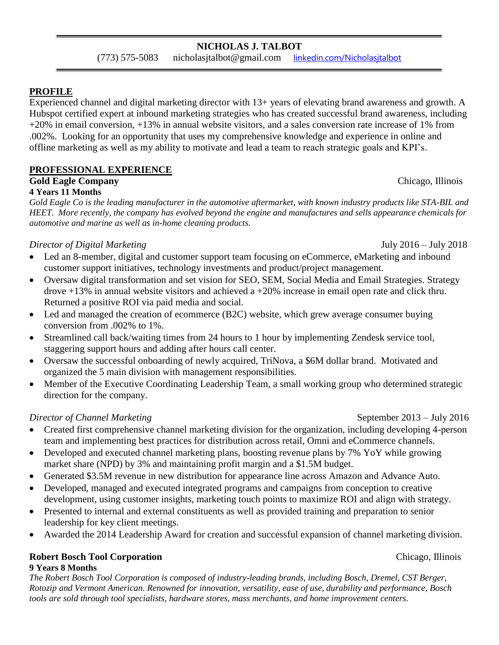## **PROFILE**

Experienced channel and digital marketing director with 13+ years of elevating brand awareness and growth. A Hubspot certified expert at inbound marketing strategies who has created successful brand awareness, including +20% in email conversion, +13% in annual website visitors, and a sales conversion rate increase of 1% from .002%. Looking for an opportunity that uses my comprehensive knowledge and experience in online and offline marketing as well as my ability to motivate and lead a team to reach strategic goals and KPI's.

## **PROFESSIONAL EXPERIENCE**

### **Gold Eagle Company** Chicago, Illinois **4 Years 11 Months**

*Gold Eagle Co is the leading manufacturer in the automotive aftermarket, with known industry products like STA-BIL and HEET. More recently, the company has evolved beyond the engine and manufactures and sells appearance chemicals for automotive and marine as well as in-home cleaning products.* 

# *Director of Digital Marketing* July 2016 – July 2018

- Led an 8-member, digital and customer support team focusing on eCommerce, eMarketing and inbound customer support initiatives, technology investments and product/project management.
- Oversaw digital transformation and set vision for SEO, SEM, Social Media and Email Strategies. Strategy drove +13% in annual website visitors and achieved a +20% increase in email open rate and click thru. Returned a positive ROI via paid media and social.
- Led and managed the creation of ecommerce (B2C) website, which grew average consumer buying conversion from .002% to 1%.
- Streamlined call back/waiting times from 24 hours to 1 hour by implementing Zendesk service tool, staggering support hours and adding after hours call center.
- Oversaw the successful onboarding of newly acquired, TriNova, a \$6M dollar brand. Motivated and organized the 5 main division with management responsibilities.
- Member of the Executive Coordinating Leadership Team, a small working group who determined strategic direction for the company.

# *Director of Channel Marketing* **September 2013** – July 2016

- Created first comprehensive channel marketing division for the organization, including developing 4-person team and implementing best practices for distribution across retail, Omni and eCommerce channels.
- Developed and executed channel marketing plans, boosting revenue plans by 7% YoY while growing market share (NPD) by 3% and maintaining profit margin and a \$1.5M budget.
- Generated \$3.5M revenue in new distribution for appearance line across Amazon and Advance Auto.
- Developed, managed and executed integrated programs and campaigns from conception to creative development, using customer insights, marketing touch points to maximize ROI and align with strategy.
- Presented to internal and external constituents as well as provided training and preparation to senior leadership for key client meetings.
- Awarded the 2014 Leadership Award for creation and successful expansion of channel marketing division.

### **Robert Bosch Tool Corporation** Chicago, Illinois **9 Years 8 Months**

*The Robert Bosch Tool Corporation is composed of industry-leading brands, including Bosch, Dremel, CST Berger, Rotozip and Vermont American. Renowned for innovation, versatility, ease of use, durability and performance, Bosch tools are sold through tool specialists, hardware stores, mass merchants, and home improvement centers.*